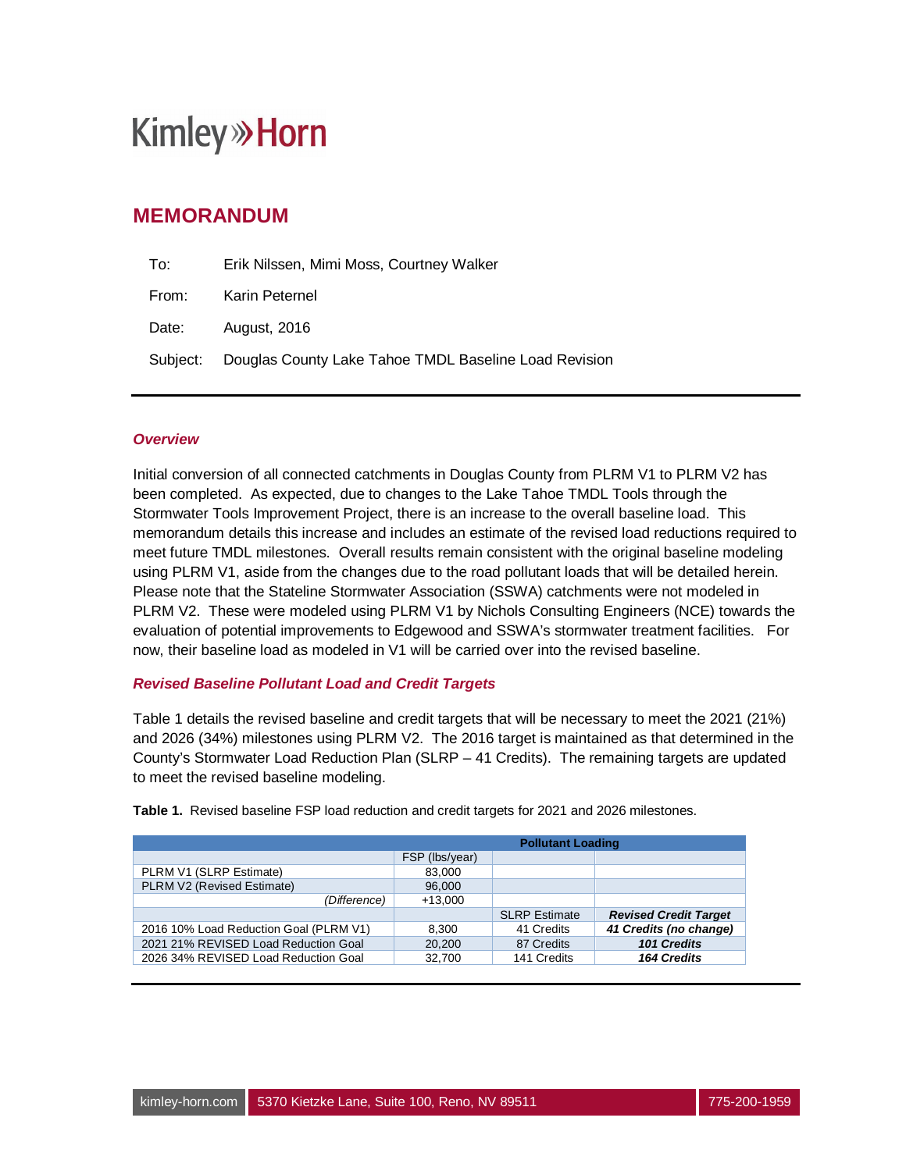### **MEMORANDUM**

| To:   | Erik Nilssen, Mimi Moss, Courtney Walker                       |
|-------|----------------------------------------------------------------|
| From: | Karin Peternel                                                 |
| Date: | August, 2016                                                   |
|       | Subject: Douglas County Lake Tahoe TMDL Baseline Load Revision |

#### *Overview*

Initial conversion of all connected catchments in Douglas County from PLRM V1 to PLRM V2 has been completed. As expected, due to changes to the Lake Tahoe TMDL Tools through the Stormwater Tools Improvement Project, there is an increase to the overall baseline load. This memorandum details this increase and includes an estimate of the revised load reductions required to meet future TMDL milestones. Overall results remain consistent with the original baseline modeling using PLRM V1, aside from the changes due to the road pollutant loads that will be detailed herein. Please note that the Stateline Stormwater Association (SSWA) catchments were not modeled in PLRM V2. These were modeled using PLRM V1 by Nichols Consulting Engineers (NCE) towards the evaluation of potential improvements to Edgewood and SSWA's stormwater treatment facilities. For now, their baseline load as modeled in V1 will be carried over into the revised baseline.

#### *Revised Baseline Pollutant Load and Credit Targets*

Table 1 details the revised baseline and credit targets that will be necessary to meet the 2021 (21%) and 2026 (34%) milestones using PLRM V2. The 2016 target is maintained as that determined in the County's Stormwater Load Reduction Plan (SLRP – 41 Credits). The remaining targets are updated to meet the revised baseline modeling.

|                                        | <b>Pollutant Loading</b> |                      |                              |  |  |  |
|----------------------------------------|--------------------------|----------------------|------------------------------|--|--|--|
|                                        | FSP (lbs/year)           |                      |                              |  |  |  |
| PLRM V1 (SLRP Estimate)                | 83,000                   |                      |                              |  |  |  |
| PLRM V2 (Revised Estimate)             | 96,000                   |                      |                              |  |  |  |
| (Difference)                           | $+13.000$                |                      |                              |  |  |  |
|                                        |                          | <b>SLRP Estimate</b> | <b>Revised Credit Target</b> |  |  |  |
| 2016 10% Load Reduction Goal (PLRM V1) | 8.300                    | 41 Credits           | 41 Credits (no change)       |  |  |  |
| 2021 21% REVISED Load Reduction Goal   | 20,200                   | 87 Credits           | 101 Credits                  |  |  |  |
| 2026 34% REVISED Load Reduction Goal   | 32,700                   | 141 Credits          | 164 Credits                  |  |  |  |

**Table 1.** Revised baseline FSP load reduction and credit targets for 2021 and 2026 milestones.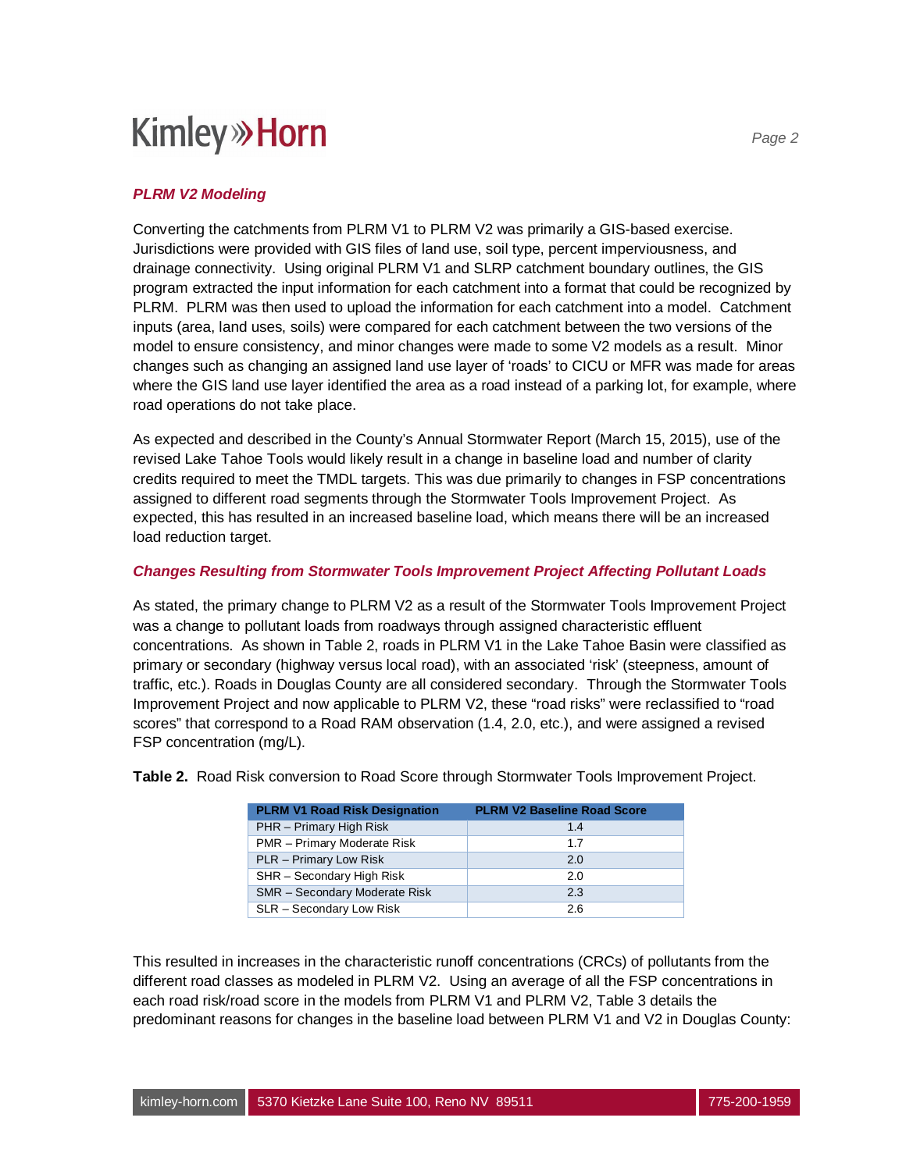#### *PLRM V2 Modeling*

Converting the catchments from PLRM V1 to PLRM V2 was primarily a GIS-based exercise. Jurisdictions were provided with GIS files of land use, soil type, percent imperviousness, and drainage connectivity. Using original PLRM V1 and SLRP catchment boundary outlines, the GIS program extracted the input information for each catchment into a format that could be recognized by PLRM. PLRM was then used to upload the information for each catchment into a model. Catchment inputs (area, land uses, soils) were compared for each catchment between the two versions of the model to ensure consistency, and minor changes were made to some V2 models as a result. Minor changes such as changing an assigned land use layer of 'roads' to CICU or MFR was made for areas where the GIS land use layer identified the area as a road instead of a parking lot, for example, where road operations do not take place.

As expected and described in the County's Annual Stormwater Report (March 15, 2015), use of the revised Lake Tahoe Tools would likely result in a change in baseline load and number of clarity credits required to meet the TMDL targets. This was due primarily to changes in FSP concentrations assigned to different road segments through the Stormwater Tools Improvement Project. As expected, this has resulted in an increased baseline load, which means there will be an increased load reduction target.

#### *Changes Resulting from Stormwater Tools Improvement Project Affecting Pollutant Loads*

As stated, the primary change to PLRM V2 as a result of the Stormwater Tools Improvement Project was a change to pollutant loads from roadways through assigned characteristic effluent concentrations. As shown in Table 2, roads in PLRM V1 in the Lake Tahoe Basin were classified as primary or secondary (highway versus local road), with an associated 'risk' (steepness, amount of traffic, etc.). Roads in Douglas County are all considered secondary. Through the Stormwater Tools Improvement Project and now applicable to PLRM V2, these "road risks" were reclassified to "road scores" that correspond to a Road RAM observation (1.4, 2.0, etc.), and were assigned a revised FSP concentration (mg/L).

| <b>PLRM V1 Road Risk Designation</b> | <b>PLRM V2 Baseline Road Score</b> |
|--------------------------------------|------------------------------------|
| PHR - Primary High Risk              | 1.4                                |
| PMR - Primary Moderate Risk          | 1.7                                |
| PLR - Primary Low Risk               | 2.0                                |
| SHR - Secondary High Risk            | 2.0                                |
| <b>SMR</b> - Secondary Moderate Risk | 2.3                                |
| SLR - Secondary Low Risk             | 2.6                                |

**Table 2.** Road Risk conversion to Road Score through Stormwater Tools Improvement Project.

This resulted in increases in the characteristic runoff concentrations (CRCs) of pollutants from the different road classes as modeled in PLRM V2. Using an average of all the FSP concentrations in each road risk/road score in the models from PLRM V1 and PLRM V2, Table 3 details the predominant reasons for changes in the baseline load between PLRM V1 and V2 in Douglas County: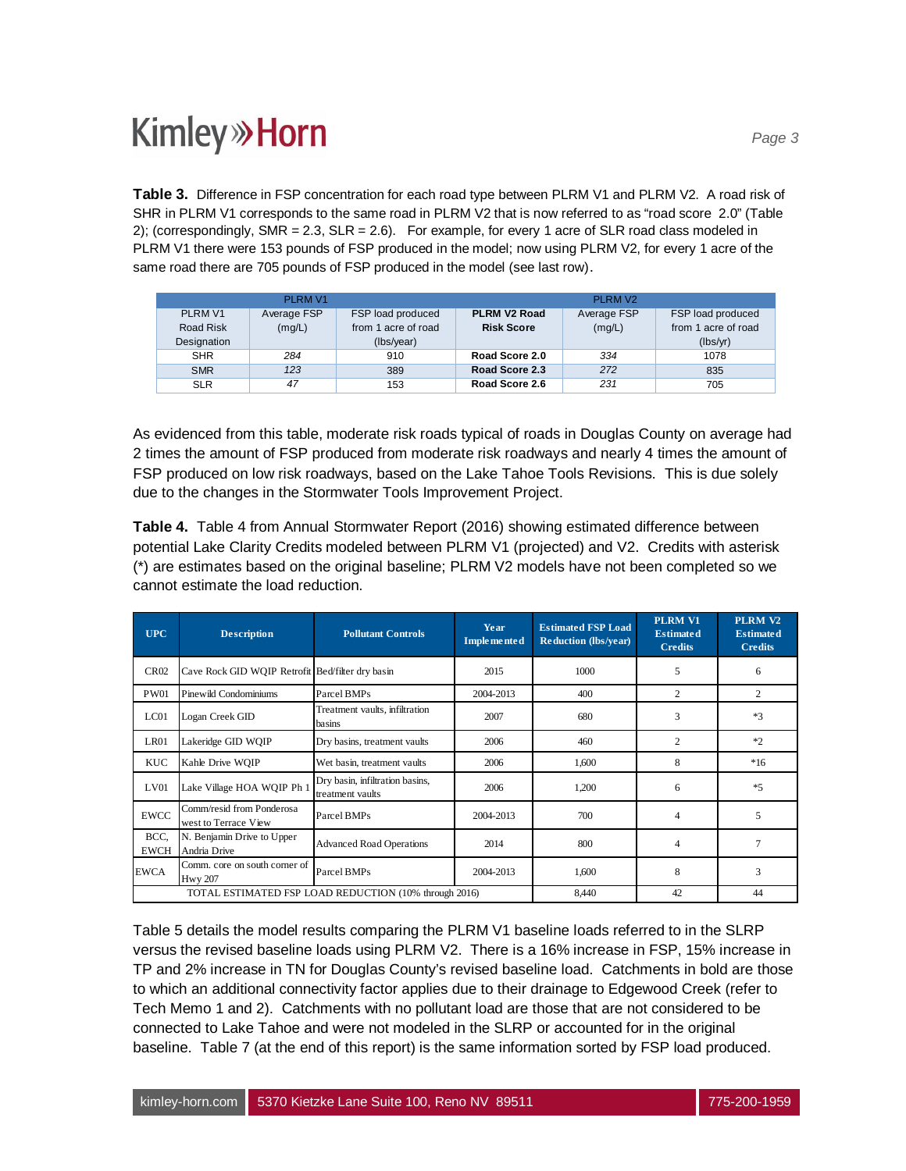Table 3. Difference in FSP concentration for each road type between PLRM V1 and PLRM V2. A road risk of SHR in PLRM V1 corresponds to the same road in PLRM V2 that is now referred to as "road score 2.0" (Table 2); (correspondingly, SMR = 2.3, SLR = 2.6). For example, for every 1 acre of SLR road class modeled in PLRM V1 there were 153 pounds of FSP produced in the model; now using PLRM V2, for every 1 acre of the same road there are 705 pounds of FSP produced in the model (see last row).

|             | PLRM V1     |                     |                          | <b>PLRM V2</b> |                     |
|-------------|-------------|---------------------|--------------------------|----------------|---------------------|
| PLRM V1     | Average FSP | FSP load produced   | PLRM V <sub>2</sub> Road | Average FSP    | FSP load produced   |
| Road Risk   | (mg/L)      | from 1 acre of road | <b>Risk Score</b>        | (mg/L)         | from 1 acre of road |
| Designation |             | (Ibs/year)          |                          |                | (lbs/vr)            |
| <b>SHR</b>  | 284         | 910                 | Road Score 2.0           | 334            | 1078                |
| <b>SMR</b>  | 123         | 389                 | Road Score 2.3           | 272            | 835                 |
| <b>SLR</b>  | 47          | 153                 | Road Score 2.6           | 231            | 705                 |

As evidenced from this table, moderate risk roads typical of roads in Douglas County on average had 2 times the amount of FSP produced from moderate risk roadways and nearly 4 times the amount of FSP produced on low risk roadways, based on the Lake Tahoe Tools Revisions. This is due solely due to the changes in the Stormwater Tools Improvement Project.

**Table 4.** Table 4 from Annual Stormwater Report (2016) showing estimated difference between potential Lake Clarity Credits modeled between PLRM V1 (projected) and V2. Credits with asterisk (\*) are estimates based on the original baseline; PLRM V2 models have not been completed so we cannot estimate the load reduction.

| <b>UPC</b>          | <b>Description</b>                                | <b>Pollutant Controls</b>                             | <b>Estimated FSP Load</b><br>Year<br>Implemented<br><b>Reduction (lbs/year)</b> |       | <b>PLRM V1</b><br><b>Estimated</b><br><b>Credits</b> | <b>PLRM V2</b><br><b>Estimated</b><br><b>Credits</b> |
|---------------------|---------------------------------------------------|-------------------------------------------------------|---------------------------------------------------------------------------------|-------|------------------------------------------------------|------------------------------------------------------|
| <b>CR02</b>         | Cave Rock GID WQIP Retrofit Bed/filter dry basin  |                                                       | 2015                                                                            | 1000  | 5                                                    | 6                                                    |
| <b>PW01</b>         | Pinewild Condominiums                             | Parcel BMPs                                           | 2004-2013                                                                       | 400   | $\overline{c}$                                       | $\overline{2}$                                       |
| LC01                | Logan Creek GID                                   | Treatment vaults, infiltration<br>basins              | 2007                                                                            | 680   | 3                                                    | $*3$                                                 |
| LR01                | Lakeridge GID WOIP                                | Dry basins, treatment vaults                          | 2006                                                                            | 460   | $\overline{c}$                                       | $*2$                                                 |
| <b>KUC</b>          | Kahle Drive WOIP                                  | Wet basin, treatment vaults                           | 2006                                                                            | 1.600 | 8                                                    | $*16$                                                |
| LVO1                | Lake Village HOA WQIP Ph 1                        | Dry basin, infiltration basins,<br>treatment vaults   | 2006                                                                            | 1,200 | 6                                                    | $*5$                                                 |
| <b>EWCC</b>         | Comm/resid from Ponderosa<br>west to Terrace View | Parcel BMPs                                           | 2004-2013                                                                       | 700   | 4                                                    | 5                                                    |
| BCC.<br><b>EWCH</b> | N. Benjamin Drive to Upper<br>Andria Drive        | <b>Advanced Road Operations</b>                       | 2014                                                                            | 800   | 4                                                    |                                                      |
| <b>EWCA</b>         | Comm. core on south corner of<br><b>Hwy 207</b>   | Parcel BMPs                                           | 2004-2013                                                                       | 1,600 | 8                                                    | 3                                                    |
|                     |                                                   | TOTAL ESTIMATED FSP LOAD REDUCTION (10% through 2016) |                                                                                 | 8,440 | 42                                                   | 44                                                   |

Table 5 details the model results comparing the PLRM V1 baseline loads referred to in the SLRP versus the revised baseline loads using PLRM V2. There is a 16% increase in FSP, 15% increase in TP and 2% increase in TN for Douglas County's revised baseline load. Catchments in bold are those to which an additional connectivity factor applies due to their drainage to Edgewood Creek (refer to Tech Memo 1 and 2). Catchments with no pollutant load are those that are not considered to be connected to Lake Tahoe and were not modeled in the SLRP or accounted for in the original baseline. Table 7 (at the end of this report) is the same information sorted by FSP load produced.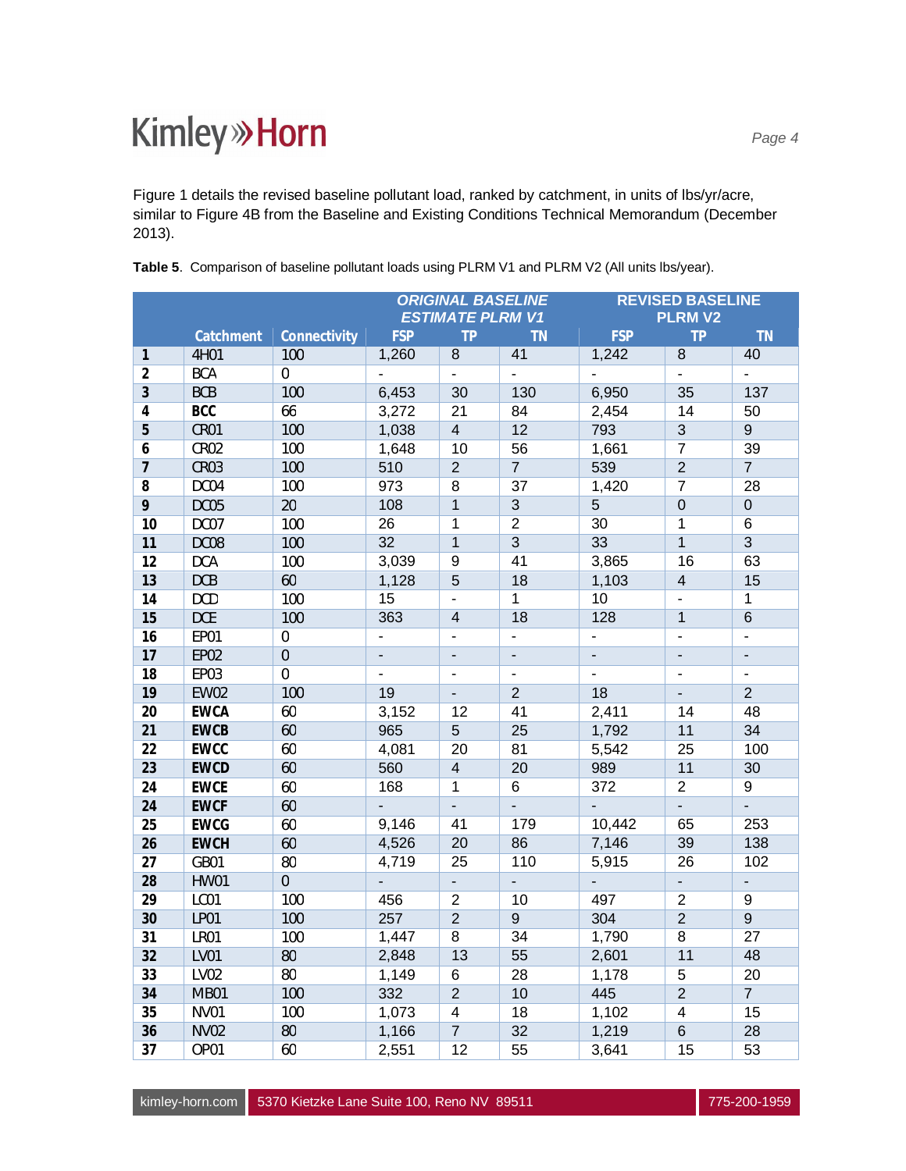Figure 1 details the revised baseline pollutant load, ranked by catchment, in units of lbs/yr/acre, similar to Figure 4B from the Baseline and Existing Conditions Technical Memorandum (December 2013).

|                 |                  |                | <b>ORIGINAL BASELINE</b><br><b>ESTIMATE PLRM V1</b> |                              |                  |                | <b>REVISED BASELINE</b><br><b>PLRMV2</b> |                 |
|-----------------|------------------|----------------|-----------------------------------------------------|------------------------------|------------------|----------------|------------------------------------------|-----------------|
|                 | Catchment        | Connectivity   | <b>FSP</b>                                          | <b>TP</b>                    | <b>TN</b>        | <b>FSP</b>     | <b>TP</b>                                | <b>TN</b>       |
| 1               | 4H01             | 100            | 1,260                                               | $\overline{8}$               | 41               | 1,242          | 8                                        | 40              |
| $\overline{2}$  | <b>BCA</b>       | $\mathbf 0$    | ä,                                                  | $\Box$                       | $\Box$           | L.             | ÷,                                       | ÷.              |
| $\mathfrak{Z}$  | <b>BCB</b>       | 100            | 6,453                                               | 30                           | 130              | 6,950          | 35                                       | 137             |
| 4               | <b>BCC</b>       | 66             | 3,272                                               | 21                           | 84               | 2,454          | 14                                       | 50              |
| 5               | CR <sub>01</sub> | 100            | 1,038                                               | $\overline{4}$               | 12               | 793            | $\overline{3}$                           | $\overline{9}$  |
| 6               | <b>CR02</b>      | 100            | 1,648                                               | 10                           | 56               | 1,661          | $\overline{7}$                           | 39              |
| 7               | <b>CR03</b>      | 100            | 510                                                 | $\overline{2}$               | $\overline{7}$   | 539            | $\overline{2}$                           | $\overline{7}$  |
| 8               | DC04             | 100            | 973                                                 | 8                            | $\overline{37}$  | 1,420          | $\overline{7}$                           | $\overline{28}$ |
| 9               | DC05             | 20             | 108                                                 | $\mathbf{1}$                 | $\overline{3}$   | $\overline{5}$ | $\overline{0}$                           | $\overline{0}$  |
| 10              | DC07             | 100            | 26                                                  | 1                            | $\overline{2}$   | 30             | 1                                        | $\overline{6}$  |
| 11              | DC08             | 100            | 32                                                  | $\overline{1}$               | $\overline{3}$   | 33             | $\overline{1}$                           | $\overline{3}$  |
| 12              | <b>DCA</b>       | 100            | 3,039                                               | 9                            | 41               | 3,865          | 16                                       | 63              |
| 13              | <b>DCB</b>       | 60             | 1,128                                               | 5                            | 18               | 1,103          | $\overline{\mathbf{4}}$                  | 15              |
| 14              | <b>DCD</b>       | 100            | 15                                                  | $\overline{\phantom{a}}$     | $\overline{1}$   | 10             | ä,                                       | $\mathbf{1}$    |
| 15              | <b>DCE</b>       | 100            | 363                                                 | $\overline{4}$               | 18               | 128            | $\overline{1}$                           | 6               |
| 16              | EP01             | $\mathbf 0$    | ä,                                                  | $\qquad \qquad \blacksquare$ | ÷,               | $\blacksquare$ | ÷,                                       | $\blacksquare$  |
| 17              | <b>EP02</b>      | $\mathbf 0$    |                                                     | $\blacksquare$               | ÷,               |                | ÷,                                       |                 |
| $\overline{18}$ | <b>EP03</b>      | $\overline{0}$ | $\mathbf{r}$                                        | $\blacksquare$               | ÷,               | ÷.             | $\blacksquare$                           | $\mathbf{u}$    |
| 19              | <b>EW02</b>      | 100            | 19                                                  | ÷.                           | $\overline{2}$   | 18             | $\overline{a}$                           | $\overline{2}$  |
| $\overline{20}$ | <b>EWCA</b>      | 60             | 3,152                                               | 12                           | 41               | 2,411          | 14                                       | 48              |
| 21              | <b>EWCB</b>      | 60             | 965                                                 | $\overline{5}$               | 25               | 1,792          | 11                                       | 34              |
| $\overline{22}$ | <b>EWCC</b>      | 60             | 4,081                                               | $\overline{20}$              | 81               | 5,542          | $\overline{25}$                          | 100             |
| 23              | <b>EWCD</b>      | 60             | 560                                                 | $\overline{4}$               | 20               | 989            | 11                                       | 30              |
| $\overline{24}$ | <b>EWCE</b>      | 60             | 168                                                 | $\overline{1}$               | $\overline{6}$   | 372            | $\overline{2}$                           | $\overline{9}$  |
| 24              | <b>EWCF</b>      | 60             |                                                     | $\blacksquare$               | $\blacksquare$   | $\blacksquare$ | ÷,                                       | $\blacksquare$  |
| 25              | <b>EWCG</b>      | 60             | 9,146                                               | 41                           | 179              | 10,442         | 65                                       | 253             |
| 26              | <b>EWCH</b>      | 60             | 4,526                                               | $\overline{20}$              | 86               | 7,146          | 39                                       | 138             |
| $\overline{27}$ | GB01             | 80             | 4,719                                               | $\overline{25}$              | 110              | 5,915          | $\overline{26}$                          | 102             |
| $\overline{28}$ | <b>HW01</b>      | $\overline{0}$ | $\mathbf{r}$                                        | ÷.                           | ÷.               | ÷,             | ä,                                       | ÷,              |
| 29              | LC01             | 100            | 456                                                 | $\overline{2}$               | 10               | 497            | $\overline{2}$                           | 9               |
| 30              | LP01             | 100            | 257                                                 | $\overline{2}$               | $\boldsymbol{9}$ | 304            | $\overline{2}$                           | $\overline{9}$  |
| 31              | LR01             | 100            | 1,447                                               | 8                            | 34               | 1,790          | $\overline{8}$                           | $\overline{27}$ |
| $\overline{32}$ | LV01             | 80             | 2,848                                               | 13                           | 55               | 2,601          | 11                                       | 48              |
| 33              | <b>LV02</b>      | 80             | 1,149                                               | 6                            | $\overline{28}$  | 1,178          | $\overline{5}$                           | 20              |
| 34              | <b>MB01</b>      | 100            | 332                                                 | $\overline{2}$               | 10               | 445            | $\overline{2}$                           | $\overline{7}$  |
| 35              | <b>NV01</b>      | 100            | 1,073                                               | $\overline{\mathbf{4}}$      | 18               | 1,102          | 4                                        | 15              |
| 36              | <b>NV02</b>      | 80             | 1,166                                               | $\overline{7}$               | 32               | 1,219          | $\overline{6}$                           | 28              |
| 37              | OP01             | 60             | 2,551                                               | 12                           | 55               | 3,641          | 15                                       | 53              |

|  | Table 5. Comparison of baseline pollutant loads using PLRM V1 and PLRM V2 (All units lbs/year). |  |  |  |
|--|-------------------------------------------------------------------------------------------------|--|--|--|
|  |                                                                                                 |  |  |  |

kimley-horn.com 5370 Kietzke Lane Suite 100, Reno NV 89511 775-200-1959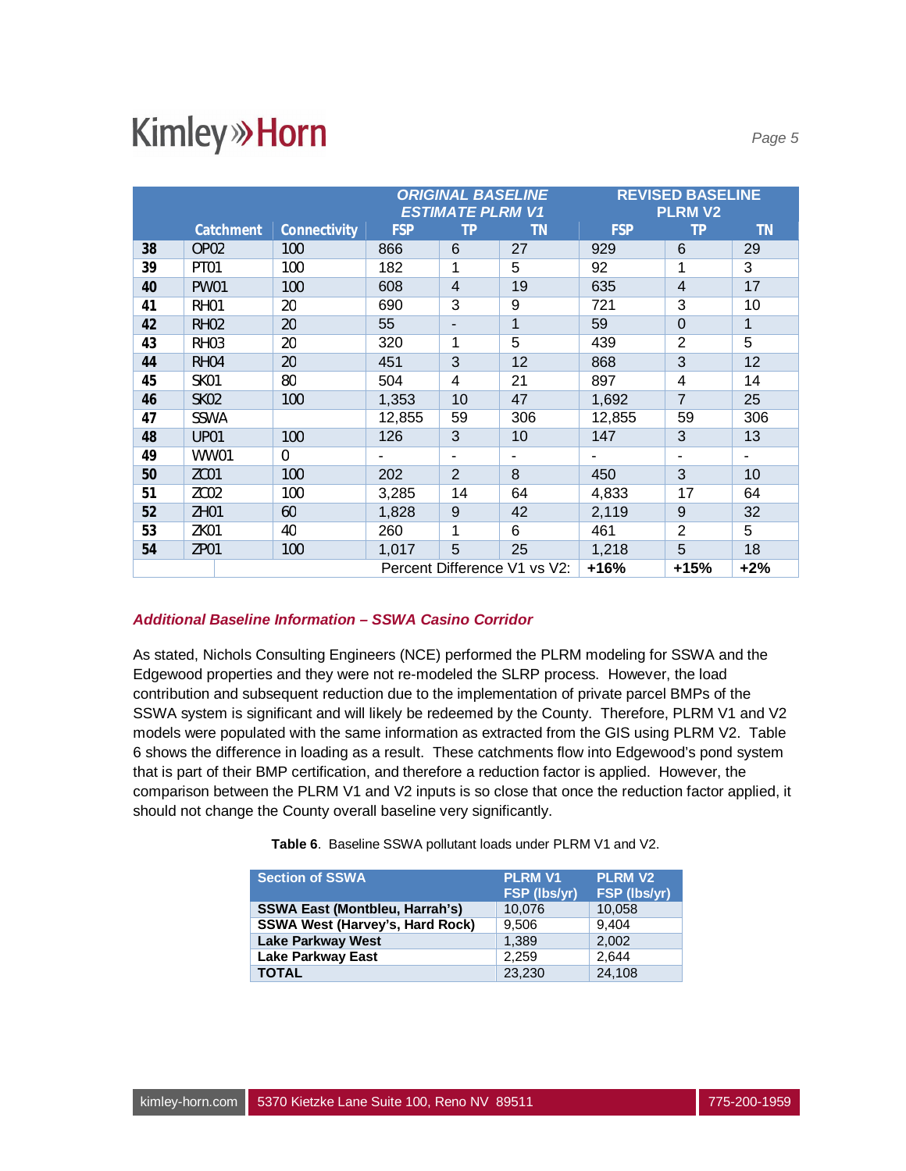|    |                              |              | <b>ORIGINAL BASELINE</b><br><b>ESTIMATE PLRM V1</b> |                |     |            | <b>REVISED BASELINE</b><br><b>PLRM V2</b> |           |
|----|------------------------------|--------------|-----------------------------------------------------|----------------|-----|------------|-------------------------------------------|-----------|
|    | Catchment                    | Connectivity | <b>FSP</b>                                          | TР             | ΤN  | <b>FSP</b> | TΡ                                        | <b>TN</b> |
| 38 | OP <sub>02</sub>             | 100          | 866                                                 | 6              | 27  | 929        | 6                                         | 29        |
| 39 | PT01                         | 100          | 182                                                 | 1              | 5   | 92         | 1                                         | 3         |
| 40 | <b>PW01</b>                  | 100          | 608                                                 | 4              | 19  | 635        | 4                                         | 17        |
| 41 | <b>RH01</b>                  | 20           | 690                                                 | 3              | 9   | 721        | 3                                         | 10        |
| 42 | <b>RH02</b>                  | 20           | 55                                                  | -              | 1   | 59         | 0                                         | 1         |
| 43 | RH <sub>03</sub>             | 20           | 320                                                 | 1              | 5   | 439        | $\overline{2}$                            | 5         |
| 44 | <b>RH04</b>                  | 20           | 451                                                 | 3              | 12  | 868        | 3                                         | 12        |
| 45 | <b>SK01</b>                  | 80           | 504                                                 | 4              | 21  | 897        | 4                                         | 14        |
| 46 | <b>SK02</b>                  | 100          | 1,353                                               | 10             | 47  | 1,692      | $\overline{7}$                            | 25        |
| 47 | SSWA                         |              | 12,855                                              | 59             | 306 | 12,855     | 59                                        | 306       |
| 48 | <b>UP01</b>                  | 100          | 126                                                 | 3              | 10  | 147        | 3                                         | 13        |
| 49 | <b>WW01</b>                  | $\Omega$     |                                                     | ۰              |     |            | ۰                                         |           |
| 50 | ZC01                         | 100          | 202                                                 | $\overline{2}$ | 8   | 450        | 3                                         | 10        |
| 51 | ZC <sub>02</sub>             | 100          | 3,285                                               | 14             | 64  | 4,833      | 17                                        | 64        |
| 52 | ZH01                         | 60           | 1,828                                               | 9              | 42  | 2,119      | 9                                         | 32        |
| 53 | ZK01                         | 40           | 260                                                 | 1              | 6   | 461        | $\overline{2}$                            | 5         |
| 54 | ZP <sub>01</sub>             | 100          | 1,017                                               | 5              | 25  | 1,218      | 5                                         | 18        |
|    | Percent Difference V1 vs V2: |              |                                                     |                |     | $+16%$     | $+15%$                                    | $+2%$     |

#### *Additional Baseline Information – SSWA Casino Corridor*

As stated, Nichols Consulting Engineers (NCE) performed the PLRM modeling for SSWA and the Edgewood properties and they were not re-modeled the SLRP process. However, the load contribution and subsequent reduction due to the implementation of private parcel BMPs of the SSWA system is significant and will likely be redeemed by the County. Therefore, PLRM V1 and V2 models were populated with the same information as extracted from the GIS using PLRM V2. Table 6 shows the difference in loading as a result. These catchments flow into Edgewood's pond system that is part of their BMP certification, and therefore a reduction factor is applied. However, the comparison between the PLRM V1 and V2 inputs is so close that once the reduction factor applied, it should not change the County overall baseline very significantly.

**Table 6**. Baseline SSWA pollutant loads under PLRM V1 and V2.

| <b>Section of SSWA</b>                 | <b>PLRM V1</b><br>FSP (lbs/yr) | <b>PLRM V2</b><br>FSP (lbs/yr) |
|----------------------------------------|--------------------------------|--------------------------------|
| <b>SSWA East (Montbleu, Harrah's)</b>  | 10,076                         | 10,058                         |
| <b>SSWA West (Harvey's, Hard Rock)</b> | 9,506                          | 9.404                          |
| Lake Parkway West                      | 1.389                          | 2.002                          |
| <b>Lake Parkway East</b>               | 2.259                          | 2.644                          |
| <b>TOTAL</b>                           | 23.230                         | 24.108                         |

*Page 5*